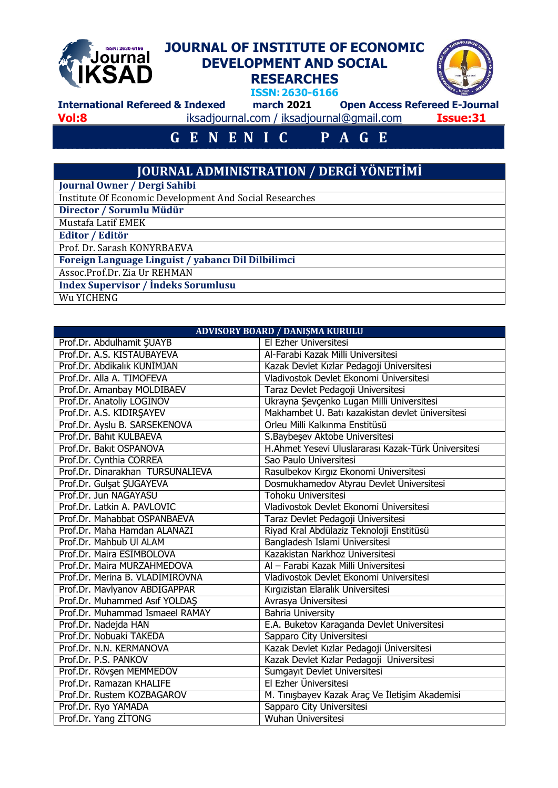## **JOURNAL OF INSTITUTE OF ECONOMIC**  ISSN: 2630-6166 **Journal DEVELOPMENT AND SOCIAL KSAD RESEARCHES ISSN:2630-6166 International Refereed & Indexed march 2021 Open Access Refereed E-Journal**

**Vol:8** iksadjournal.com / [iksadjournal@gmail.com](mailto:iksadjournal@gmail.com) **Issue:31**

## **G E N E N I C P A G E**

## **JOURNAL ADMINISTRATION / DERGİ YÖNETİMİ**

**Journal Owner / Dergi Sahibi**

Institute Of Economic Development And Social Researches

**Director / Sorumlu Müdür**

Mustafa Latif EMEK **Editor / Editör**

Prof. Dr. Sarash KONYRBAEVA

**Foreign Language Linguist / yabancı Dil Dilbilimci**

Assoc.Prof.Dr. Zia Ur REHMAN

**Index Supervisor / İndeks Sorumlusu**

Wu YICHENG

| ADVISORY BOARD / DANIȘMA KURULU  |                                                     |  |  |  |  |  |  |  |
|----------------------------------|-----------------------------------------------------|--|--|--|--|--|--|--|
| Prof.Dr. Abdulhamit ŞUAYB        | El Ezher Üniversitesi                               |  |  |  |  |  |  |  |
| Prof.Dr. A.S. KİSTAUBAYEVA       | Al-Farabi Kazak Milli Üniversitesi                  |  |  |  |  |  |  |  |
| Prof.Dr. Abdikalık KUNİMJAN      | Kazak Devlet Kızlar Pedagoji Üniversitesi           |  |  |  |  |  |  |  |
| Prof.Dr. Alla A. TIMOFEVA        | Vladivostok Devlet Ekonomi Üniversitesi             |  |  |  |  |  |  |  |
| Prof.Dr. Amanbay MOLDIBAEV       | Taraz Devlet Pedagoji Üniversitesi                  |  |  |  |  |  |  |  |
| Prof.Dr. Anatoliy LOGİNOV        | Ukrayna Şevçenko Lugan Milli Üniversitesi           |  |  |  |  |  |  |  |
| Prof.Dr. A.S. KIDIRŞAYEV         | Makhambet U. Batı kazakistan devlet üniversitesi    |  |  |  |  |  |  |  |
| Prof.Dr. Ayslu B. SARSEKENOVA    | Orleu Milli Kalkınma Enstitüsü                      |  |  |  |  |  |  |  |
| Prof.Dr. Bahıt KULBAEVA          | S. Baybesev Aktobe Üniversitesi                     |  |  |  |  |  |  |  |
| Prof.Dr. Bakıt OSPANOVA          | H.Ahmet Yesevi Uluslararası Kazak-Türk Üniversitesi |  |  |  |  |  |  |  |
| Prof.Dr. Cynthia CORREA          | Sao Paulo Üniversitesi                              |  |  |  |  |  |  |  |
| Prof.Dr. Dinarakhan TURSUNALİEVA | Rasulbekov Kırgız Ekonomi Üniversitesi              |  |  |  |  |  |  |  |
| Prof.Dr. Gulşat ŞUGAYEVA         | Dosmukhamedov Atyrau Devlet Üniversitesi            |  |  |  |  |  |  |  |
| Prof.Dr. Jun NAGAYASU            | Tohoku Üniversitesi                                 |  |  |  |  |  |  |  |
| Prof.Dr. Latkin A. PAVLOVIC      | Vladivostok Devlet Ekonomi Üniversitesi             |  |  |  |  |  |  |  |
| Prof.Dr. Mahabbat OSPANBAEVA     | Taraz Devlet Pedagoji Üniversitesi                  |  |  |  |  |  |  |  |
| Prof.Dr. Maha Hamdan ALANAZI     | Riyad Kral Abdülaziz Teknoloji Enstitüsü            |  |  |  |  |  |  |  |
| Prof.Dr. Mahbub UI ALAM          | Bangladesh Islami Universitesi                      |  |  |  |  |  |  |  |
| Prof.Dr. Maira ESIMBOLOVA        | Kazakistan Narkhoz Üniversitesi                     |  |  |  |  |  |  |  |
| Prof.Dr. Maira MURZAHMEDOVA      | Al - Farabi Kazak Milli Üniversitesi                |  |  |  |  |  |  |  |
| Prof.Dr. Merina B. VLADIMIROVNA  | Vladivostok Devlet Ekonomi Üniversitesi             |  |  |  |  |  |  |  |
| Prof.Dr. Mavlyanov ABDIGAPPAR    | Kırgızistan Elaralık Üniversitesi                   |  |  |  |  |  |  |  |
| Prof.Dr. Muhammed Asıf YOLDAŞ    | Avrasya Üniversitesi                                |  |  |  |  |  |  |  |
| Prof.Dr. Muhammad Ismaeel RAMAY  | <b>Bahria University</b>                            |  |  |  |  |  |  |  |
| Prof.Dr. Nadejda HAN             | E.A. Buketov Karaganda Devlet Üniversitesi          |  |  |  |  |  |  |  |
| Prof.Dr. Nobuaki TAKEDA          | Sapparo City Üniversitesi                           |  |  |  |  |  |  |  |
| Prof.Dr. N.N. KERMANOVA          | Kazak Devlet Kızlar Pedagoji Üniversitesi           |  |  |  |  |  |  |  |
| Prof.Dr. P.S. PANKOV             | Kazak Devlet Kızlar Pedagoji Üniversitesi           |  |  |  |  |  |  |  |
| Prof.Dr. Rövşen MEMMEDOV         | Sumgayıt Devlet Üniversitesi                        |  |  |  |  |  |  |  |
| Prof.Dr. Ramazan KHALIFE         | El Ezher Üniversitesi                               |  |  |  |  |  |  |  |
| Prof.Dr. Rustem KOZBAGAROV       | M. Tinişbayev Kazak Araç Ve İletişim Akademisi      |  |  |  |  |  |  |  |
| Prof.Dr. Ryo YAMADA              | Sapparo City Üniversitesi                           |  |  |  |  |  |  |  |
| Prof.Dr. Yang ZITONG             | Wuhan Üniversitesi                                  |  |  |  |  |  |  |  |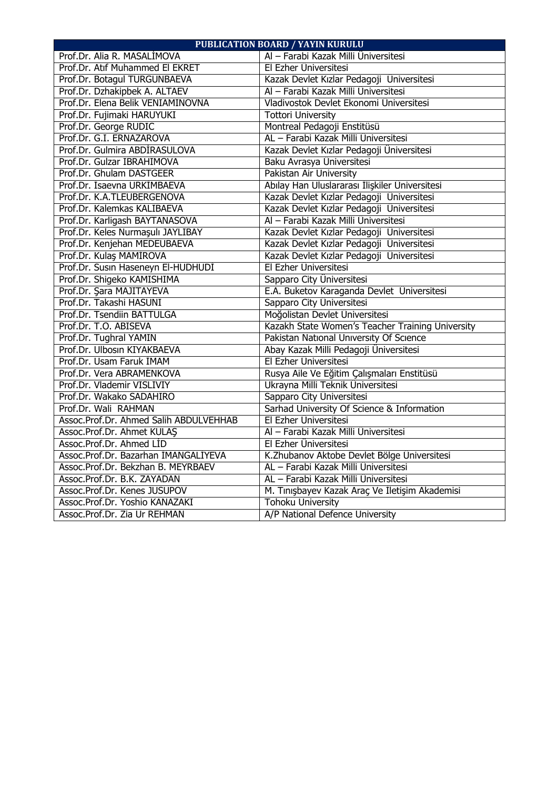| <b>PUBLICATION BOARD / YAYIN KURULU</b> |                                                  |  |  |  |  |  |  |  |
|-----------------------------------------|--------------------------------------------------|--|--|--|--|--|--|--|
| Prof.Dr. Alia R. MASALİMOVA             | Al - Farabi Kazak Milli Üniversitesi             |  |  |  |  |  |  |  |
| Prof.Dr. Atıf Muhammed El EKRET         | El Ezher Üniversitesi                            |  |  |  |  |  |  |  |
| Prof.Dr. Botagul TURGUNBAEVA            | Kazak Devlet Kızlar Pedagoji Üniversitesi        |  |  |  |  |  |  |  |
| Prof.Dr. Dzhakipbek A. ALTAEV           | Al - Farabi Kazak Milli Üniversitesi             |  |  |  |  |  |  |  |
| Prof.Dr. Elena Belik VENIAMINOVNA       | Vladivostok Devlet Ekonomi Üniversitesi          |  |  |  |  |  |  |  |
| Prof.Dr. Fujimaki HARUYUKI              | <b>Tottori University</b>                        |  |  |  |  |  |  |  |
| Prof.Dr. George RUDIC                   | Montreal Pedagoji Enstitüsü                      |  |  |  |  |  |  |  |
| Prof.Dr. G.I. ERNAZAROVA                | AL - Farabi Kazak Milli Üniversitesi             |  |  |  |  |  |  |  |
| Prof.Dr. Gulmira ABDİRASULOVA           | Kazak Devlet Kızlar Pedagoji Üniversitesi        |  |  |  |  |  |  |  |
| Prof.Dr. Gulzar IBRAHIMOVA              | Baku Avrasya Üniversitesi                        |  |  |  |  |  |  |  |
| Prof.Dr. Ghulam DASTGEER                | Pakistan Air University                          |  |  |  |  |  |  |  |
| Prof.Dr. Isaevna URKIMBAEVA             | Abılay Han Uluslararası İlişkiler Üniversitesi   |  |  |  |  |  |  |  |
| Prof.Dr. K.A.TLEUBERGENOVA              | Kazak Devlet Kızlar Pedagoji Üniversitesi        |  |  |  |  |  |  |  |
| Prof.Dr. Kalemkas KALIBAEVA             | Kazak Devlet Kızlar Pedagoji Üniversitesi        |  |  |  |  |  |  |  |
| Prof.Dr. Karligash BAYTANASOVA          | Al - Farabi Kazak Milli Üniversitesi             |  |  |  |  |  |  |  |
| Prof.Dr. Keles Nurmaşulı JAYLIBAY       | Kazak Devlet Kızlar Pedagoji Üniversitesi        |  |  |  |  |  |  |  |
| Prof.Dr. Kenjehan MEDEUBAEVA            | Kazak Devlet Kızlar Pedagoji Üniversitesi        |  |  |  |  |  |  |  |
| Prof.Dr. Kulaş MAMİROVA                 | Kazak Devlet Kızlar Pedagoji Üniversitesi        |  |  |  |  |  |  |  |
| Prof.Dr. Susin Haseneyn El-HUDHUDI      | El Ezher Üniversitesi                            |  |  |  |  |  |  |  |
| Prof.Dr. Shigeko KAMISHIMA              | Sapparo City Üniversitesi                        |  |  |  |  |  |  |  |
| Prof.Dr. Şara MAJITAYEVA                | E.A. Buketov Karaganda Devlet Üniversitesi       |  |  |  |  |  |  |  |
| Prof.Dr. Takashi HASUNI                 | Sapparo City Üniversitesi                        |  |  |  |  |  |  |  |
| Prof.Dr. Tsendiin BATTULGA              | Moğolistan Devlet Üniversitesi                   |  |  |  |  |  |  |  |
| Prof.Dr. T.O. ABISEVA                   | Kazakh State Women's Teacher Training University |  |  |  |  |  |  |  |
| Prof.Dr. Tughral YAMIN                  | Pakistan National University Of Science          |  |  |  |  |  |  |  |
| Prof.Dr. Ulbosin KIYAKBAEVA             | Abay Kazak Milli Pedagoji Üniversitesi           |  |  |  |  |  |  |  |
| Prof.Dr. Usam Faruk IMAM                | El Ezher Üniversitesi                            |  |  |  |  |  |  |  |
| Prof.Dr. Vera ABRAMENKOVA               | Rusya Aile Ve Eğitim Çalışmaları Enstitüsü       |  |  |  |  |  |  |  |
| Prof.Dr. Vlademir VISLIVIY              | Ukrayna Milli Teknik Üniversitesi                |  |  |  |  |  |  |  |
| Prof.Dr. Wakako SADAHIRO                | Sapparo City Üniversitesi                        |  |  |  |  |  |  |  |
| Prof.Dr. Wali RAHMAN                    | Sarhad University Of Science & Information       |  |  |  |  |  |  |  |
| Assoc.Prof.Dr. Ahmed Salih ABDULVEHHAB  | El Ezher Üniversitesi                            |  |  |  |  |  |  |  |
| Assoc.Prof.Dr. Ahmet KULAŞ              | Al - Farabi Kazak Milli Üniversitesi             |  |  |  |  |  |  |  |
| Assoc.Prof.Dr. Ahmed LID                | El Ezher Üniversitesi                            |  |  |  |  |  |  |  |
| Assoc.Prof.Dr. Bazarhan İMANGALİYEVA    | K.Zhubanov Aktobe Devlet Bölge Üniversitesi      |  |  |  |  |  |  |  |
| Assoc.Prof.Dr. Bekzhan B. MEYRBAEV      | AL - Farabi Kazak Milli Üniversitesi             |  |  |  |  |  |  |  |
| Assoc.Prof.Dr. B.K. ZAYADAN             | AL - Farabi Kazak Milli Üniversitesi             |  |  |  |  |  |  |  |
| Assoc.Prof.Dr. Kenes JUSUPOV            | M. Tinişbayev Kazak Araç Ve İletişim Akademisi   |  |  |  |  |  |  |  |
| Assoc.Prof.Dr. Yoshio KANAZAKI          | <b>Tohoku University</b>                         |  |  |  |  |  |  |  |
| Assoc.Prof.Dr. Zia Ur REHMAN            | A/P National Defence University                  |  |  |  |  |  |  |  |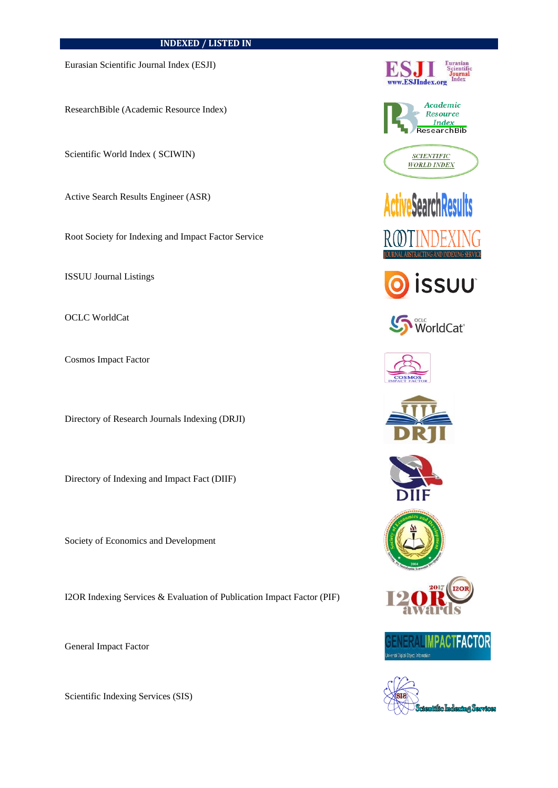## **INDEXED / LISTED IN**

Eurasian Scientific Journal Index (ESJI)

ResearchBible (Academic Resource Index)

Scientific World Index ( SCIWIN)

Active Search Results Engineer (ASR)

Root Society for Indexing and Impact Factor Service

ISSUU Journal Listings

OCLC WorldCat

Cosmos Impact Factor

Directory of Research Journals Indexing (DRJI)

Directory of Indexing and Impact Fact (DIIF)

Society of Economics and Development

I2OR Indexing Services & Evaluation of Publication Impact Factor (PIF)

General Impact Factor

Scientific Indexing Services (SIS)